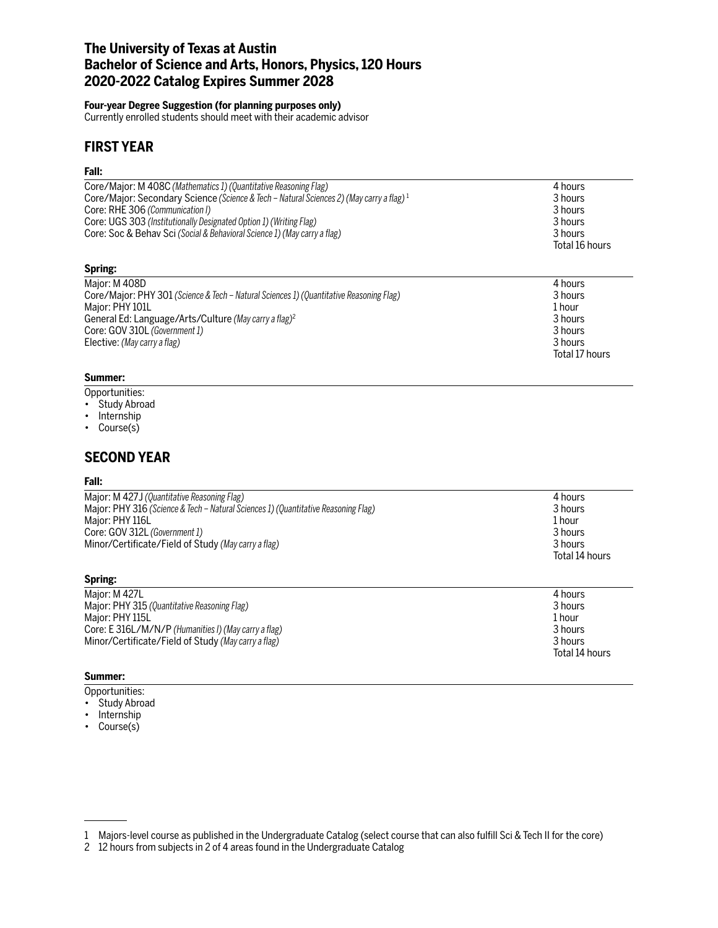## **The University of Texas at Austin Bachelor of Science and Arts, Honors, Physics, 120 Hours 2020-2022 Catalog Expires Summer 2028**

### **Four-year Degree Suggestion (for planning purposes only)**

Currently enrolled students should meet with their academic advisor

# **FIRST YEAR**

### **Fall:**

| Core/Major: M 408C (Mathematics 1) (Quantitative Reasoning Flag)                            | 4 hours        |
|---------------------------------------------------------------------------------------------|----------------|
| Core/Major: Secondary Science (Science & Tech – Natural Sciences 2) (May carry a flag) $^1$ | 3 hours        |
| Core: RHE 306 (Communication I)                                                             | 3 hours        |
| Core: UGS 303 (Institutionally Designated Option 1) (Writing Flag)                          | 3 hours        |
| Core: Soc & Behav Sci (Social & Behavioral Science 1) (May carry a flag)                    | 3 hours        |
|                                                                                             | Total 16 hours |
| Spring:                                                                                     |                |

| Maior: M 408D                                                                           | 4 hours        |
|-----------------------------------------------------------------------------------------|----------------|
| Core/Major: PHY 301 (Science & Tech - Natural Sciences 1) (Quantitative Reasoning Flag) | 3 hours        |
| Maior: PHY 101L                                                                         | 1 hour         |
| General Ed: Language/Arts/Culture (May carry a flag) <sup>2</sup>                       | 3 hours        |
| Core: GOV 310L (Government 1)                                                           | 3 hours        |
| Elective: (May carry a flag)                                                            | 3 hours        |
|                                                                                         | Total 17 hours |

### **Summer:**

Opportunities:

- Study Abroad
- Internship
- Course(s)

# **SECOND YEAR**

## **Fall:**

| Major: M 427J (Quantitative Reasoning Flag)                                        | 4 hours        |
|------------------------------------------------------------------------------------|----------------|
| Major: PHY 316 (Science & Tech – Natural Sciences 1) (Quantitative Reasoning Flag) | 3 hours        |
| Major: PHY 116L                                                                    | 1 hour         |
| Core: GOV 312L (Government 1)                                                      | 3 hours        |
| Minor/Certificate/Field of Study (May carry a flag)                                | 3 hours        |
|                                                                                    | Total 14 hours |
|                                                                                    |                |

Total 14 hours

## **Spring:** Major: M 427L 4 hours Major: PHY 315 *(Quantitative Reasoning Flag)* 3 hours Major: PHY 115L Core: E 316L/M/N/P *(Humanities I) (May carry a flag)* 3 hours Minor/Certificate/Field of Study *(May carry a flag)* 3 hours

## **Summer:**

- Opportunities:
- Study Abroad
- Internship
- Course(s)

<sup>1</sup> Majors-level course as published in the Undergraduate Catalog (select course that can also fulfill Sci & Tech II for the core)

<sup>2</sup> 12 hours from subjects in 2 of 4 areas found in the Undergraduate Catalog